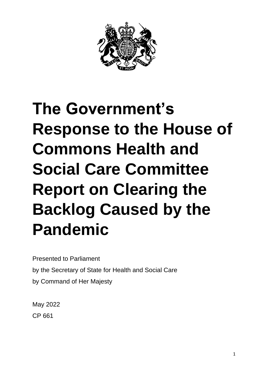

# **The Government's Response to the House of Commons Health and Social Care Committee Report on Clearing the Backlog Caused by the Pandemic**

Presented to Parliament by the Secretary of State for Health and Social Care by Command of Her Majesty

May 2022 CP 661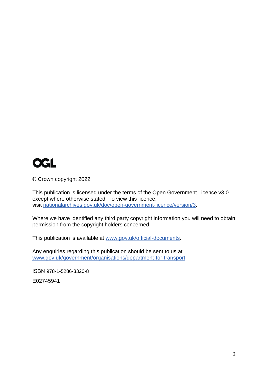

© Crown copyright 2022

This publication is licensed under the terms of the Open Government Licence v3.0 except where otherwise stated. To view this licence, visit [nationalarchives.gov.uk/doc/open-government-licence/version/3.](http://www.nationalarchives.gov.uk/doc/open-government-licence/version/3)

Where we have identified any third party copyright information you will need to obtain permission from the copyright holders concerned.

This publication is available at [www.gov.uk/official-documents.](https://www.gov.uk/government/publications)

Any enquiries regarding this publication should be sent to us at [www.gov.uk/government/organisations/department-for-transport](http://www.gov.uk/government/organisations/department-for-transport)

ISBN 978-1-5286-3320-8

E02745941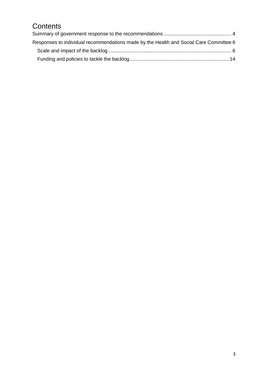## **Contents**

| Responses to individual recommendations made by the Health and Social Care Committee 6 |  |
|----------------------------------------------------------------------------------------|--|
|                                                                                        |  |
|                                                                                        |  |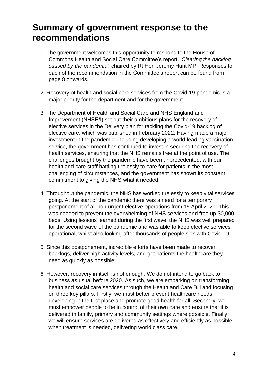## <span id="page-3-0"></span>**Summary of government response to the recommendations**

- 1. The government welcomes this opportunity to respond to the House of Commons Health and Social Care Committee's report, '*Clearing the backlog caused by the pandemic',* chaired by Rt Hon Jeremy Hunt MP. Responses to each of the recommendation in the Committee's report can be found from page 8 onwards.
- 2. Recovery of health and social care services from the Covid-19 pandemic is a major priority for the department and for the government.
- 3. The Department of Health and Social Care and NHS England and Improvement (NHSE/I) set out their ambitious plans for the recovery of elective services in the Delivery plan for tackling the Covid-19 backlog of elective care, which was published in February 2022. Having made a major investment in the pandemic, including developing a world-leading vaccination service, the government has continued to invest in securing the recovery of health services, ensuring that the NHS remains free at the point of use. The challenges brought by the pandemic have been unprecedented, with our health and care staff battling tirelessly to care for patients in the most challenging of circumstances, and the government has shown its constant commitment to giving the NHS what it needed.
- 4. Throughout the pandemic, the NHS has worked tirelessly to keep vital services going. At the start of the pandemic there was a need for a temporary postponement of all non-urgent elective operations from 15 April 2020. This was needed to prevent the overwhelming of NHS services and free up 30,000 beds. Using lessons learned during the first wave, the NHS was well prepared for the second wave of the pandemic and was able to keep elective services operational, whilst also looking after thousands of people sick with Covid-19.
- 5. Since this postponement, incredible efforts have been made to recover backlogs, deliver high activity levels, and get patients the healthcare they need as quickly as possible.
- 6. However, recovery in itself is not enough. We do not intend to go back to business as usual before 2020. As such, we are embarking on transforming health and social care services through the Health and Care Bill and focusing on three key pillars. Firstly, we must better prevent healthcare needs developing in the first place and promote good health for all. Secondly, we must empower people to be in control of their own care and ensure that it is delivered in family, primary and community settings where possible. Finally, we will ensure services are delivered as effectively and efficiently as possible when treatment is needed, delivering world class care.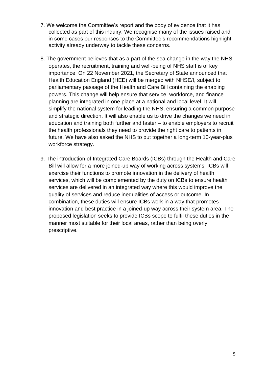- 7. We welcome the Committee's report and the body of evidence that it has collected as part of this inquiry. We recognise many of the issues raised and in some cases our responses to the Committee's recommendations highlight activity already underway to tackle these concerns.
- 8. The government believes that as a part of the sea change in the way the NHS operates, the recruitment, training and well-being of NHS staff is of key importance. On 22 November 2021, the Secretary of State announced that Health Education England (HEE) will be merged with NHSE/I, subject to parliamentary passage of the Health and Care Bill containing the enabling powers. This change will help ensure that service, workforce, and finance planning are integrated in one place at a national and local level. It will simplify the national system for leading the NHS, ensuring a common purpose and strategic direction. It will also enable us to drive the changes we need in education and training both further and faster – to enable employers to recruit the health professionals they need to provide the right care to patients in future. We have also asked the NHS to put together a long-term 10-year-plus workforce strategy.
- 9. The introduction of Integrated Care Boards (ICBs) through the Health and Care Bill will allow for a more joined-up way of working across systems. ICBs will exercise their functions to promote innovation in the delivery of health services, which will be complemented by the duty on ICBs to ensure health services are delivered in an integrated way where this would improve the quality of services and reduce inequalities of access or outcome. In combination, these duties will ensure ICBs work in a way that promotes innovation and best practice in a joined-up way across their system area. The proposed legislation seeks to provide ICBs scope to fulfil these duties in the manner most suitable for their local areas, rather than being overly prescriptive.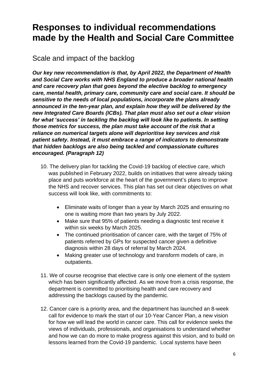## <span id="page-5-0"></span>**Responses to individual recommendations made by the Health and Social Care Committee**

<span id="page-5-1"></span>Scale and impact of the backlog

*Our key new recommendation is that, by April 2022, the Department of Health and Social Care works with NHS England to produce a broader national health and care recovery plan that goes beyond the elective backlog to emergency care, mental health, primary care, community care and social care. It should be sensitive to the needs of local populations, incorporate the plans already announced in the ten-year plan, and explain how they will be delivered by the new Integrated Care Boards (ICBs). That plan must also set out a clear vision for what 'success' in tackling the backlog will look like to patients. In setting those metrics for success, the plan must take account of the risk that a reliance on numerical targets alone will deprioritise key services and risk patient safety. Instead, it must embrace a range of indicators to demonstrate that hidden backlogs are also being tackled and compassionate cultures encouraged. (Paragraph 12)*

- 10. The delivery plan for tackling the Covid-19 backlog of elective care, which was published in February 2022, builds on initiatives that were already taking place and puts workforce at the heart of the government's plans to improve the NHS and recover services. This plan has set out clear objectives on what success will look like, with commitments to:
	- Eliminate waits of longer than a year by March 2025 and ensuring no one is waiting more than two years by July 2022.
	- Make sure that 95% of patients needing a diagnostic test receive it within six weeks by March 2025.
	- The continued prioritisation of cancer care, with the target of 75% of patients referred by GPs for suspected cancer given a definitive diagnosis within 28 days of referral by March 2024.
	- Making greater use of technology and transform models of care, in outpatients.
- 11. We of course recognise that elective care is only one element of the system which has been significantly affected. As we move from a crisis response, the department is committed to prioritising health and care recovery and addressing the backlogs caused by the pandemic.
- 12. Cancer care is a priority area, and the department has launched an 8-week call for evidence to mark the start of our 10-Year Cancer Plan, a new vision for how we will lead the world in cancer care. This call for evidence seeks the views of individuals, professionals, and organisations to understand whether and how we can do more to make progress against this vision, and to build on lessons learned from the Covid-19 pandemic. Local systems have been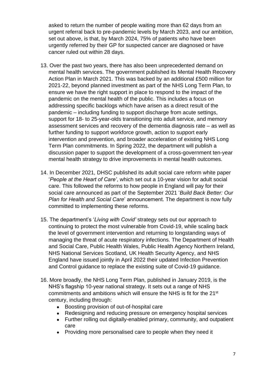asked to return the number of people waiting more than 62 days from an urgent referral back to pre-pandemic levels by March 2023, and our ambition, set out above, is that, by March 2024, 75% of patients who have been urgently referred by their GP for suspected cancer are diagnosed or have cancer ruled out within 28 days.

- 13. Over the past two years, there has also been unprecedented demand on mental health services. The government published its Mental Health Recovery Action Plan in March 2021. This was backed by an additional £500 million for 2021-22, beyond planned investment as part of the NHS Long Term Plan, to ensure we have the right support in place to respond to the impact of the pandemic on the mental health of the public. This includes a focus on addressing specific backlogs which have arisen as a direct result of the pandemic – including funding to support discharge from acute settings, support for 18- to 25-year-olds transitioning into adult service, and memory assessment services and recovery of the dementia diagnosis rate – as well as further funding to support workforce growth, action to support early intervention and prevention, and broader acceleration of existing NHS Long Term Plan commitments. In Spring 2022, the department will publish a discussion paper to support the development of a cross-government ten-year mental health strategy to drive improvements in mental health outcomes.
- 14. In December 2021, DHSC published its adult social care reform white paper '*People at the Heart of Care'*, which set out a 10-year vision for adult social care. This followed the reforms to how people in England will pay for their social care announced as part of the September 2021 '*Build Back Better: Our Plan for Health and Social Care*' announcement. The department is now fully committed to implementing these reforms.
- 15. The department's '*Living with Covid'* strategy sets out our approach to continuing to protect the most vulnerable from Covid-19, while scaling back the level of government intervention and returning to longstanding ways of managing the threat of acute respiratory infections. The Department of Health and Social Care, Public Health Wales, Public Health Agency Northern Ireland, NHS National Services Scotland, UK Health Security Agency, and NHS England have issued jointly in April 2022 their updated Infection Prevention and Control guidance to replace the existing suite of Covid-19 guidance.
- 16. More broadly, the NHS Long Term Plan, published in January 2019, is the NHS's flagship 10-year national strategy. It sets out a range of NHS commitments and ambitions which will ensure the NHS is fit for the 21st century, including through:
	- Boosting provision of out-of-hospital care
	- Redesigning and reducing pressure on emergency hospital services
	- Further rolling out digitally-enabled primary, community, and outpatient care
	- Providing more personalised care to people when they need it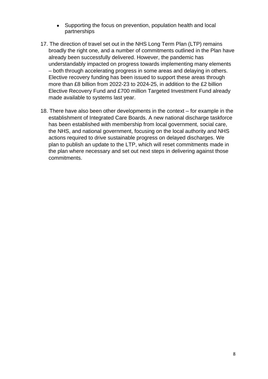- Supporting the focus on prevention, population health and local partnerships
- 17. The direction of travel set out in the NHS Long Term Plan (LTP) remains broadly the right one, and a number of commitments outlined in the Plan have already been successfully delivered. However, the pandemic has understandably impacted on progress towards implementing many elements – both through accelerating progress in some areas and delaying in others. Elective recovery funding has been issued to support these areas through more than £8 billion from 2022-23 to 2024-25, in addition to the £2 billion Elective Recovery Fund and £700 million Targeted Investment Fund already made available to systems last year.
- 18. There have also been other developments in the context for example in the establishment of Integrated Care Boards. A new national discharge taskforce has been established with membership from local government, social care, the NHS, and national government, focusing on the local authority and NHS actions required to drive sustainable progress on delayed discharges. We plan to publish an update to the LTP, which will reset commitments made in the plan where necessary and set out next steps in delivering against those commitments.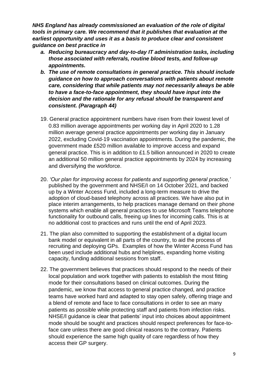*NHS England has already commissioned an evaluation of the role of digital tools in primary care. We recommend that it publishes that evaluation at the earliest opportunity and uses it as a basis to produce clear and consistent guidance on best practice in*

- *a. Reducing bureaucracy and day-to-day IT administration tasks, including those associated with referrals, routine blood tests, and follow-up appointments.*
- *b. The use of remote consultations in general practice. This should include guidance on how to approach conversations with patients about remote care, considering that while patients may not necessarily always be able to have a face-to-face appointment, they should have input into the decision and the rationale for any refusal should be transparent and consistent. (Paragraph 44)*
- 19. General practice appointment numbers have risen from their lowest level of 0.83 million average appointments per working day in April 2020 to 1.28 million average general practice appointments per working day in January 2022, excluding Covid-19 vaccination appointments. During the pandemic, the government made £520 million available to improve access and expand general practice. This is in addition to £1.5 billion announced in 2020 to create an additional 50 million general practice appointments by 2024 by increasing and diversifying the workforce.
- 20. *'Our plan for improving access for patients and supporting general practice,'* published by the government and NHSE/I on 14 October 2021, and backed up by a Winter Access Fund, included a long-term measure to drive the adoption of cloud-based telephony across all practices. We have also put in place interim arrangements, to help practices manage demand on their phone systems which enable all general practices to use Microsoft Teams telephone functionality for outbound calls, freeing up lines for incoming calls. This is at no additional cost to practices and runs until the end of April 2023.
- 21. The plan also committed to supporting the establishment of a digital locum bank model or equivalent in all parts of the country, to aid the process of recruiting and deploying GPs. Examples of how the Winter Access Fund has been used include additional hubs and helplines, expanding home visiting capacity, funding additional sessions from staff.
- 22. The government believes that practices should respond to the needs of their local population and work together with patients to establish the most fitting mode for their consultations based on clinical outcomes. During the pandemic, we know that access to general practice changed, and practice teams have worked hard and adapted to stay open safely, offering triage and a blend of remote and face to face consultations in order to see an many patients as possible while protecting staff and patients from infection risks. NHSE/I guidance is clear that patients' input into choices about appointment mode should be sought and practices should respect preferences for face-toface care unless there are good clinical reasons to the contrary. Patients should experience the same high quality of care regardless of how they access their GP surgery.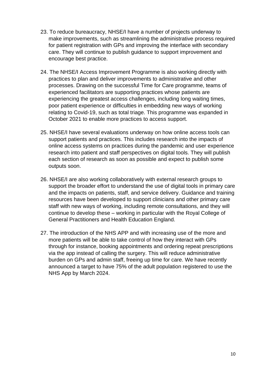- 23. To reduce bureaucracy, NHSE/I have a number of projects underway to make improvements, such as streamlining the administrative process required for patient registration with GPs and improving the interface with secondary care. They will continue to publish guidance to support improvement and encourage best practice.
- 24. The NHSE/I Access Improvement Programme is also working directly with practices to plan and deliver improvements to administrative and other processes. Drawing on the successful Time for Care programme, teams of experienced facilitators are supporting practices whose patients are experiencing the greatest access challenges, including long waiting times, poor patient experience or difficulties in embedding new ways of working relating to Covid-19, such as total triage. This programme was expanded in October 2021 to enable more practices to access support.
- 25. NHSE/I have several evaluations underway on how online access tools can support patients and practices. This includes research into the impacts of online access systems on practices during the pandemic and user experience research into patient and staff perspectives on digital tools. They will publish each section of research as soon as possible and expect to publish some outputs soon.
- 26. NHSE/I are also working collaboratively with external research groups to support the broader effort to understand the use of digital tools in primary care and the impacts on patients, staff, and service delivery. Guidance and training resources have been developed to support clinicians and other primary care staff with new ways of working, including remote consultations, and they will continue to develop these – working in particular with the Royal College of General Practitioners and Health Education England.
- 27. The introduction of the NHS APP and with increasing use of the more and more patients will be able to take control of how they interact with GPs through for instance, booking appointments and ordering repeat prescriptions via the app instead of calling the surgery. This will reduce administrative burden on GPs and admin staff, freeing up time for care. We have recently announced a target to have 75% of the adult population registered to use the NHS App by March 2024.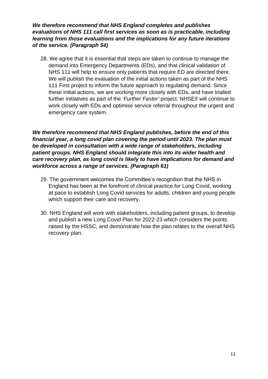*We therefore recommend that NHS England completes and publishes evaluations of NHS 111 call first services as soon as is practicable, including learning from those evaluations and the implications for any future iterations of the service. (Paragraph 54)* 

28. We agree that it is essential that steps are taken to continue to manage the demand into Emergency Departments (EDs), and that clinical validation of NHS 111 will help to ensure only patients that require ED are directed there. We will publish the evaluation of the initial actions taken as part of the NHS 111 First project to inform the future approach to regulating demand. Since these initial actions, we are working more closely with EDs, and have trialled further initiatives as part of the '*Further Faster'* project. NHSE/I will continue to work closely with EDs and optimise service referral throughout the urgent and emergency care system.

*We therefore recommend that NHS England publishes, before the end of this financial year, a long covid plan covering the period until 2023. The plan must be developed in consultation with a wide range of stakeholders, including patient groups. NHS England should integrate this into its wider health and care recovery plan, as long covid is likely to have implications for demand and workforce across a range of services. (Paragraph 61)* 

- 29. The government welcomes the Committee's recognition that the NHS in England has been at the forefront of clinical practice for Long Covid, working at pace to establish Long Covid services for adults, children and young people which support their care and recovery.
- 30. NHS England will work with stakeholders, including patient groups, to develop and publish a new Long Covid Plan for 2022-23 which considers the points raised by the HSSC, and demonstrate how the plan relates to the overall NHS recovery plan.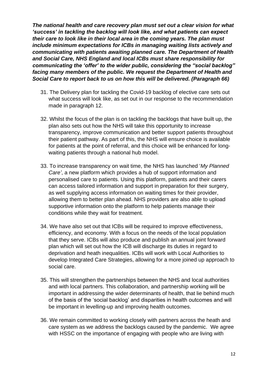*The national health and care recovery plan must set out a clear vision for what 'success' in tackling the backlog will look like, and what patients can expect their care to look like in their local area in the coming years. The plan must include minimum expectations for ICBs in managing waiting lists actively and communicating with patients awaiting planned care. The Department of Health and Social Care, NHS England and local ICBs must share responsibility for communicating the 'offer' to the wider public, considering the "social backlog" facing many members of the public. We request the Department of Health and Social Care to report back to us on how this will be delivered. (Paragraph 66)*

- 31. The Delivery plan for tackling the Covid-19 backlog of elective care sets out what success will look like, as set out in our response to the recommendation made in paragraph 12.
- 32. Whilst the focus of the plan is on tackling the backlogs that have built up, the plan also sets out how the NHS will take this opportunity to increase transparency, improve communication and better support patients throughout their patient pathway. As part of this, the NHS will ensure choice is available for patients at the point of referral, and this choice will be enhanced for longwaiting patients through a national hub model.
- 33. To increase transparency on wait time, the NHS has launched '*My Planned Care'*, a new platform which provides a hub of support information and personalised care to patients. Using this platform, patients and their carers can access tailored information and support in preparation for their surgery, as well supplying access information on waiting times for their provider, allowing them to better plan ahead. NHS providers are also able to upload supportive information onto the platform to help patients manage their conditions while they wait for treatment.
- 34. We have also set out that ICBs will be required to improve effectiveness, efficiency, and economy. With a focus on the needs of the local population that they serve. ICBs will also produce and publish an annual joint forward plan which will set out how the ICB will discharge its duties in regard to deprivation and heath inequalities. ICBs will work with Local Authorities to develop Integrated Care Strategies, allowing for a more joined up approach to social care.
- 35. This will strengthen the partnerships between the NHS and local authorities and with local partners. This collaboration, and partnership working will be important in addressing the wider determinants of health, that lie behind much of the basis of the 'social backlog' and disparities in health outcomes and will be important in levelling-up and improving health outcomes.
- 36. We remain committed to working closely with partners across the heath and care system as we address the backlogs caused by the pandemic. We agree with HSSC on the importance of engaging with people who are living with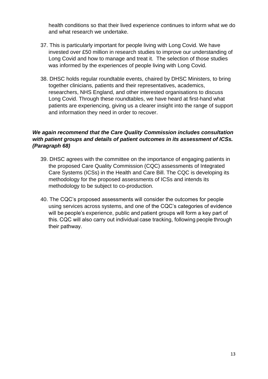health conditions so that their lived experience continues to inform what we do and what research we undertake.

- 37. This is particularly important for people living with Long Covid. We have invested over £50 million in research studies to improve our understanding of Long Covid and how to manage and treat it. The selection of those studies was informed by the experiences of people living with Long Covid.
- 38. DHSC holds regular roundtable events, chaired by DHSC Ministers, to bring together clinicians, patients and their representatives, academics, researchers, NHS England, and other interested organisations to discuss Long Covid. Through these roundtables, we have heard at first-hand what patients are experiencing, giving us a clearer insight into the range of support and information they need in order to recover.

#### *We again recommend that the Care Quality Commission includes consultation with patient groups and details of patient outcomes in its assessment of ICSs. (Paragraph 68)*

- 39. DHSC agrees with the committee on the importance of engaging patients in the proposed Care Quality Commission (CQC) assessments of Integrated Care Systems (ICSs) in the Health and Care Bill. The CQC is developing its methodology for the proposed assessments of ICSs and intends its methodology to be subject to co-production.
- 40. The CQC's proposed assessments will consider the outcomes for people using services across systems, and one of the CQC's categories of evidence will be people's experience, public and patient groups will form a key part of this. CQC will also carry out individual case tracking, following people through their pathway.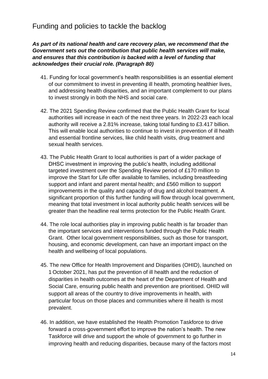### <span id="page-13-0"></span>Funding and policies to tackle the backlog

#### *As part of its national health and care recovery plan, we recommend that the Government sets out the contribution that public health services will make, and ensures that this contribution is backed with a level of funding that acknowledges their crucial role. (Paragraph 80)*

- 41. Funding for local government's health responsibilities is an essential element of our commitment to invest in preventing ill health, promoting healthier lives, and addressing health disparities, and an important complement to our plans to invest strongly in both the NHS and social care.
- 42. The 2021 Spending Review confirmed that the Public Health Grant for local authorities will increase in each of the next three years. In 2022-23 each local authority will receive a 2.81% increase, taking total funding to £3.417 billion. This will enable local authorities to continue to invest in prevention of ill health and essential frontline services, like child health visits, drug treatment and sexual health services.
- 43. The Public Health Grant to local authorities is part of a wider package of DHSC investment in improving the public's health, including additional targeted investment over the Spending Review period of £170 million to improve the Start for Life offer available to families, including breastfeeding support and infant and parent mental health; and £560 million to support improvements in the quality and capacity of drug and alcohol treatment. A significant proportion of this further funding will flow through local government, meaning that total investment in local authority public health services will be greater than the headline real terms protection for the Public Health Grant.
- 44. The role local authorities play in improving public health is far broader than the important services and interventions funded through the Public Health Grant. Other local government responsibilities, such as those for transport, housing, and economic development, can have an important impact on the health and wellbeing of local populations.
- 45. The new Office for Health Improvement and Disparities (OHID), launched on 1 October 2021, has put the prevention of ill health and the reduction of disparities in health outcomes at the heart of the Department of Health and Social Care, ensuring public health and prevention are prioritised. OHID will support all areas of the country to drive improvements in health, with particular focus on those places and communities where ill health is most prevalent.
- 46. In addition, we have established the Health Promotion Taskforce to drive forward a cross-government effort to improve the nation's health. The new Taskforce will drive and support the whole of government to go further in improving health and reducing disparities, because many of the factors most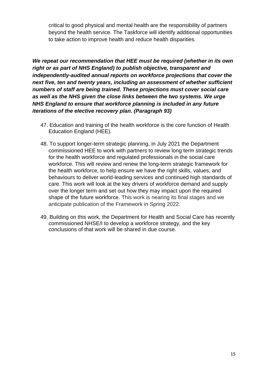critical to good physical and mental health are the responsibility of partners beyond the health service. The Taskforce will identify additional opportunities to take action to improve health and reduce health disparities.

*We repeat our recommendation that HEE must be required (whether in its own right or as part of NHS England) to publish objective, transparent and independently-audited annual reports on workforce projections that cover the next five, ten and twenty years, including an assessment of whether sufficient numbers of staff are being trained. These projections must cover social care as well as the NHS given the close links between the two systems. We urge NHS England to ensure that workforce planning is included in any future iterations of the elective recovery plan. (Paragraph 93)* 

- 47. Education and training of the health workforce is the core function of Health Education England (HEE).
- 48. To support longer-term strategic planning, in July 2021 the Department commissioned HEE to work with partners to review long term strategic trends for the health workforce and regulated professionals in the social care workforce. This will review and renew the long-term strategic framework for the health workforce, to help ensure we have the right skills, values, and behaviours to deliver world-leading services and continued high standards of care. This work will look at the key drivers of workforce demand and supply over the longer term and set out how they may impact upon the required shape of the future workforce. This work is nearing its final stages and we anticipate publication of the Framework in Spring 2022.
- 49. Building on this work, the Department for Health and Social Care has recently commissioned NHSE/I to develop a workforce strategy, and the key conclusions of that work will be shared in due course.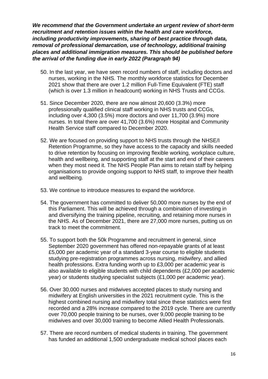*We recommend that the Government undertake an urgent review of short-term recruitment and retention issues within the health and care workforce, including productivity improvements, sharing of best practice through data, removal of professional demarcation, use of technology, additional training places and additional immigration measures. This should be published before the arrival of the funding due in early 2022 (Paragraph 94)*

- 50. In the last year, we have seen record numbers of staff, including doctors and nurses, working in the NHS. The monthly workforce statistics for December 2021 show that there are over 1.2 million Full-Time Equivalent (FTE) staff (which is over 1.3 million in headcount) working in NHS Trusts and CCGs.
- 51. Since December 2020, there are now almost 20,600 (3.3%) more professionally qualified clinical staff working in NHS trusts and CCGs, including over 4,300 (3.5%) more doctors and over 11,700 (3.9%) more nurses. In total there are over 41,700 (3.6%) more Hospital and Community Health Service staff compared to December 2020.
- 52. We are focused on providing support to NHS trusts through the NHSE/I Retention Programme, so they have access to the capacity and skills needed to drive retention by focusing on improving flexible working, workplace culture, health and wellbeing, and supporting staff at the start and end of their careers when they most need it. The NHS People Plan aims to retain staff by helping organisations to provide ongoing support to NHS staff, to improve their health and wellbeing.
- 53. We continue to introduce measures to expand the workforce.
- 54. The government has committed to deliver 50,000 more nurses by the end of this Parliament. This will be achieved through a combination of investing in and diversifying the training pipeline, recruiting, and retaining more nurses in the NHS. As of December 2021, there are 27,000 more nurses, putting us on track to meet the commitment.
- 55. To support both the 50k Programme and recruitment in general, since September 2020 government has offered non-repayable grants of at least £5,000 per academic year of a standard 3-year course to eligible students studying pre-registration programmes across nursing, midwifery, and allied health professions. Extra funding worth up to £3,000 per academic year is also available to eligible students with child dependents (£2,000 per academic year) or students studying specialist subjects (£1,000 per academic year).
- 56. Over 30,000 nurses and midwives accepted places to study nursing and midwifery at English universities in the 2021 recruitment cycle. This is the highest combined nursing and midwifery total since these statistics were first recorded and a 28% increase compared to the 2019 cycle. There are currently over 70,000 people training to be nurses, over 9,000 people training to be midwives and over 30,000 training to become Allied Health Professionals.
- 57. There are record numbers of medical students in training. The government has funded an additional 1,500 undergraduate medical school places each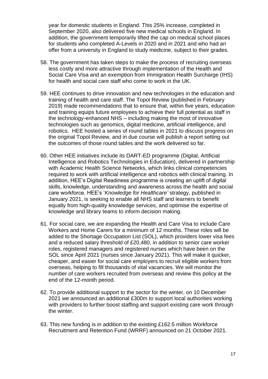year for domestic students in England. This 25% increase, completed in September 2020, also delivered five new medical schools in England. In addition, the government temporarily lifted the cap on medical school places for students who completed A-Levels in 2020 and in 2021 and who had an offer from a university in England to study medicine, subject to their grades.

- 58. The government has taken steps to make the process of recruiting overseas less costly and more attractive through implementation of the Health and Social Care Visa and an exemption from Immigration Health Surcharge (IHS) for health and social care staff who come to work in the UK.
- 59. HEE continues to drive innovation and new technologies in the education and training of health and care staff. The Topol Review (published in February 2019) made recommendations that to ensure that, within five years, education and training equips future employees to achieve their full potential as staff in the technology-enhanced NHS – including making the most of innovative technologies such as genomics, digital medicine, artificial intelligence, and robotics. HEE hosted a series of round tables in 2021 to discuss progress on the original Topol Review, and in due course will publish a report setting out the outcomes of those round tables and the work delivered so far.
- 60. Other HEE initiatives include its DART-ED programme (Digital, Artificial Intelligence and Robotics Technologies in Education), delivered in partnership with Academic Health Science Networks, which links clinical competencies required to work with artificial intelligence and robotics with clinical training. In addition, HEE's Digital Readiness programme is creating an uplift of digital skills, knowledge, understanding and awareness across the health and social care workforce. HEE's '*Knowledge for Healthcare'* strategy, published in January 2021, is seeking to enable all NHS staff and learners to benefit equally from high-quality knowledge services, and optimise the expertise of knowledge and library teams to inform decision making.
- 61. For social care, we are expanding the Health and Care Visa to include Care Workers and Home Carers for a minimum of 12 months. These roles will be added to the Shortage Occupation List (SOL), which providers lower visa fees and a reduced salary threshold of £20,480, in addition to senior care worker roles, registered managers and registered nurses which have been on the SOL since April 2021 (nurses since January 2021). This will make it quicker, cheaper, and easier for social care employers to recruit eligible workers from overseas, helping to fill thousands of vital vacancies. We will monitor the number of care workers recruited from overseas and review this policy at the end of the 12-month period.
- 62. To provide additional support to the sector for the winter, on 10 December 2021 we announced an additional £300m to support local authorities working with providers to further boost staffing and support existing care work through the winter.
- 63. This new funding is in addition to the existing £162.5 million Workforce Recruitment and Retention Fund (WRRF) announced on 21 October 2021.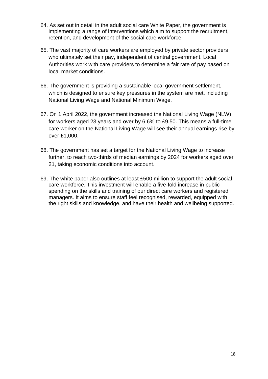- 64. As set out in detail in the adult social care White Paper, the government is implementing a range of interventions which aim to support the recruitment, retention, and development of the social care workforce.
- 65. The vast majority of care workers are employed by private sector providers who ultimately set their pay, independent of central government. Local Authorities work with care providers to determine a fair rate of pay based on local market conditions.
- 66. The government is providing a sustainable local government settlement, which is designed to ensure key pressures in the system are met, including National Living Wage and National Minimum Wage.
- 67. On 1 April 2022, the government increased the National Living Wage (NLW) for workers aged 23 years and over by 6.6% to £9.50. This means a full-time care worker on the National Living Wage will see their annual earnings rise by over £1,000.
- 68. The government has set a target for the National Living Wage to increase further, to reach two-thirds of median earnings by 2024 for workers aged over 21, taking economic conditions into account.
- 69. The white paper also outlines at least £500 million to support the adult social care workforce. This investment will enable a five-fold increase in public spending on the skills and training of our direct care workers and registered managers. It aims to ensure staff feel recognised, rewarded, equipped with the right skills and knowledge, and have their health and wellbeing supported.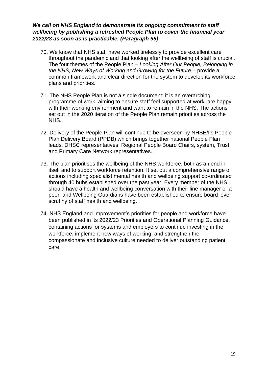#### *We call on NHS England to demonstrate its ongoing commitment to staff wellbeing by publishing a refreshed People Plan to cover the financial year 2022/23 as soon as is practicable. (Paragraph 96)*

- 70. We know that NHS staff have worked tirelessly to provide excellent care throughout the pandemic and that looking after the wellbeing of staff is crucial. The four themes of the People Plan – *Looking After Our People, Belonging in the NHS, New Ways of Working and Growing for the Future* – provide a common framework and clear direction for the system to develop its workforce plans and priorities.
- 71. The NHS People Plan is not a single document: it is an overarching programme of work, aiming to ensure staff feel supported at work, are happy with their working environment and want to remain in the NHS. The actions set out in the 2020 iteration of the People Plan remain priorities across the NHS.
- 72. Delivery of the People Plan will continue to be overseen by NHSE/I's People Plan Delivery Board (PPDB) which brings together national People Plan leads, DHSC representatives, Regional People Board Chairs, system, Trust and Primary Care Network representatives.
- 73. The plan prioritises the wellbeing of the NHS workforce, both as an end in itself and to support workforce retention. It set out a comprehensive range of actions including specialist mental health and wellbeing support co-ordinated through 40 hubs established over the past year. Every member of the NHS should have a health and wellbeing conversation with their line manager or a peer, and Wellbeing Guardians have been established to ensure board level scrutiny of staff health and wellbeing.
- 74. NHS England and Improvement's priorities for people and workforce have been published in its 2022/23 Priorities and Operational Planning Guidance, containing actions for systems and employers to continue investing in the workforce, implement new ways of working, and strengthen the compassionate and inclusive culture needed to deliver outstanding patient care.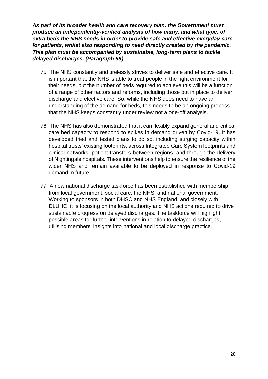*As part of its broader health and care recovery plan, the Government must produce an independently-verified analysis of how many, and what type, of extra beds the NHS needs in order to provide safe and effective everyday care for patients, whilst also responding to need directly created by the pandemic. This plan must be accompanied by sustainable, long-term plans to tackle delayed discharges. (Paragraph 99)* 

- 75. The NHS constantly and tirelessly strives to deliver safe and effective care. It is important that the NHS is able to treat people in the right environment for their needs, but the number of beds required to achieve this will be a function of a range of other factors and reforms, including those put in place to deliver discharge and elective care. So, while the NHS does need to have an understanding of the demand for beds, this needs to be an ongoing process that the NHS keeps constantly under review not a one-off analysis.
- 76. The NHS has also demonstrated that it can flexibly expand general and critical care bed capacity to respond to spikes in demand driven by Covid-19. It has developed tried and tested plans to do so, including surging capacity within hospital trusts' existing footprints, across Integrated Care System footprints and clinical networks, patient transfers between regions, and through the delivery of Nightingale hospitals. These interventions help to ensure the resilience of the wider NHS and remain available to be deployed in response to Covid-19 demand in future.
- 77. A new national discharge taskforce has been established with membership from local government, social care, the NHS, and national government. Working to sponsors in both DHSC and NHS England, and closely with DLUHC, it is focusing on the local authority and NHS actions required to drive sustainable progress on delayed discharges. The taskforce will highlight possible areas for further interventions in relation to delayed discharges, utilising members' insights into national and local discharge practice.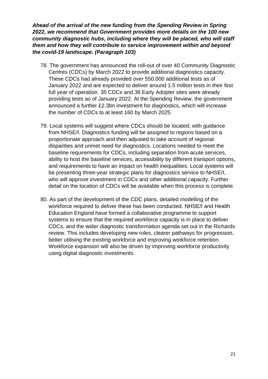*Ahead of the arrival of the new funding from the Spending Review in Spring 2022, we recommend that Government provides more details on the 100 new community diagnostic hubs, including where they will be placed, who will staff them and how they will contribute to service improvement within and beyond the covid-19 landscape. (Paragraph 103)* 

- 78. The government has announced the roll-out of over 40 Community Diagnostic Centres (CDCs) by March 2022 to provide additional diagnostics capacity. These CDCs had already provided over 550,000 additional tests as of January 2022 and are expected to deliver around 1.5 million tests in their first full year of operation. 35 CDCs and 36 Early Adopter sites were already providing tests as of January 2022. At the Spending Review, the government announced a further £2.3bn investment for diagnostics, which will increase the number of CDCs to at least 160 by March 2025.
- 79. Local systems will suggest where CDCs should be located, with guidance from NHSE/I. Diagnostics funding will be assigned to regions based on a proportionate approach and then adjusted to take account of regional disparities and unmet need for diagnostics. Locations needed to meet the baseline requirements for CDCs, including separation from acute services, ability to host the baseline services, accessibility by different transport options, and requirements to have an impact on health inequalities. Local systems will be presenting three-year strategic plans for diagnostics service to NHSE/I, who will approve investment in CDCs and other additional capacity. Further detail on the location of CDCs will be available when this process is complete.
- 80. As part of the development of the CDC plans, detailed modelling of the workforce required to deliver these has been conducted. NHSE/I and Health Education England have formed a collaborative programme to support systems to ensure that the required workforce capacity is in place to deliver CDCs, and the wider diagnostic transformation agenda set out in the Richards review. This includes developing new roles, clearer pathways for progression, better utilising the existing workforce and improving workforce retention. Workforce expansion will also be driven by improving workforce productivity using digital diagnostic investments.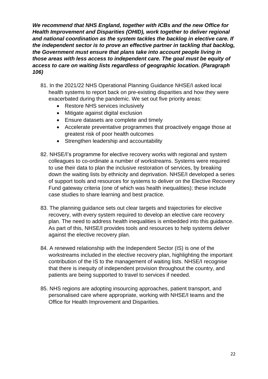*We recommend that NHS England, together with ICBs and the new Office for Health Improvement and Disparities (OHID), work together to deliver regional and national coordination as the system tackles the backlog in elective care. If the independent sector is to prove an effective partner in tackling that backlog, the Government must ensure that plans take into account people living in those areas with less access to independent care. The goal must be equity of access to care on waiting lists regardless of geographic location. (Paragraph 106)* 

- 81. In the 2021/22 NHS Operational Planning Guidance NHSE/I asked local health systems to report back on pre-existing disparities and how they were exacerbated during the pandemic. We set out five priority areas:
	- Restore NHS services inclusively
	- Mitigate against digital exclusion
	- Ensure datasets are complete and timely
	- Accelerate preventative programmes that proactively engage those at greatest risk of poor health outcomes
	- Strengthen leadership and accountability
- 82. NHSE/I's programme for elective recovery works with regional and system colleagues to co-ordinate a number of workstreams. Systems were required to use their data to plan the inclusive restoration of services, by breaking down the waiting lists by ethnicity and deprivation. NHSE/I developed a series of support tools and resources for systems to deliver on the Elective Recovery Fund gateway criteria (one of which was health inequalities); these include case studies to share learning and best practice.
- 83. The planning guidance sets out clear targets and trajectories for elective recovery, with every system required to develop an elective care recovery plan. The need to address health inequalities is embedded into this guidance. As part of this, NHSE/I provides tools and resources to help systems deliver against the elective recovery plan.
- 84. A renewed relationship with the Independent Sector (IS) is one of the workstreams included in the elective recovery plan, highlighting the important contribution of the IS to the management of waiting lists. NHSE/I recognise that there is inequity of independent provision throughout the country, and patients are being supported to travel to services if needed.
- 85. NHS regions are adopting insourcing approaches, patient transport, and personalised care where appropriate, working with NHSE/I teams and the Office for Health Improvement and Disparities.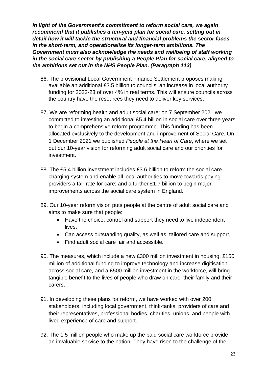*In light of the Government's commitment to reform social care, we again recommend that it publishes a ten-year plan for social care, setting out in detail how it will tackle the structural and financial problems the sector faces in the short-term, and operationalise its longer-term ambitions. The Government must also acknowledge the needs and wellbeing of staff working in the social care sector by publishing a People Plan for social care, aligned to the ambitions set out in the NHS People Plan. (Paragraph 113)* 

- 86. The provisional Local Government Finance Settlement proposes making available an additional £3.5 billion to councils, an increase in local authority funding for 2022-23 of over 4% in real terms. This will ensure councils across the country have the resources they need to deliver key services.
- 87. We are reforming health and adult social care: on 7 September 2021 we committed to investing an additional £5.4 billion in social care over three years to begin a comprehensive reform programme. This funding has been allocated exclusively to the development and improvement of Social Care. On 1 December 2021 we published *People at the Heart of Care*, where we set out our 10-year vision for reforming adult social care and our priorities for investment.
- 88. The £5.4 billion investment includes £3.6 billion to reform the social care charging system and enable all local authorities to move towards paying providers a fair rate for care; and a further £1.7 billion to begin major improvements across the social care system in England.
- 89. Our 10-year reform vision puts people at the centre of adult social care and aims to make sure that people:
	- Have the choice, control and support they need to live independent lives,
	- Can access outstanding quality, as well as, tailored care and support,
	- Find adult social care fair and accessible.
- 90. The measures, which include a new £300 million investment in housing, £150 million of additional funding to improve technology and increase digitisation across social care, and a £500 million investment in the workforce, will bring tangible benefit to the lives of people who draw on care, their family and their carers.
- 91. In developing these plans for reform, we have worked with over 200 stakeholders, including local government, think-tanks, providers of care and their representatives, professional bodies, charities, unions, and people with lived experience of care and support.
- 92. The 1.5 million people who make up the paid social care workforce provide an invaluable service to the nation. They have risen to the challenge of the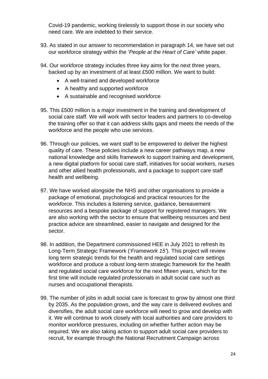Covid-19 pandemic, working tirelessly to support those in our society who need care. We are indebted to their service.

- 93. As stated in our answer to recommendation in paragraph 14, we have set out our workforce strategy within the '*People at the Heart of Care'* white paper.
- 94. Our workforce strategy includes three key aims for the next three years, backed up by an investment of at least £500 million. We want to build:
	- A well-trained and developed workforce
	- A healthy and supported workforce
	- A sustainable and recognised workforce
- 95. This £500 million is a major investment in the training and development of social care staff. We will work with sector leaders and partners to co-develop the training offer so that it can address skills gaps and meets the needs of the workforce and the people who use services.
- 96. Through our policies, we want staff to be empowered to deliver the highest quality of care. These policies include a new career pathways map, a new national knowledge and skills framework to support training and development, a new digital platform for social care staff, initiatives for social workers, nurses and other allied health professionals, and a package to support care staff health and wellbeing.
- 97. We have worked alongside the NHS and other organisations to provide a package of emotional, psychological and practical resources for the workforce. This includes a listening service, guidance, bereavement resources and a bespoke package of support for registered managers. We are also working with the sector to ensure that wellbeing resources and best practice advice are streamlined, easier to navigate and designed for the sector.
- 98. In addition, the Department commissioned HEE in July 2021 to refresh its Long-Term Strategic Framework ('*Framework 15'*). This project will review long term strategic trends for the health and regulated social care settings workforce and produce a robust long-term strategic framework for the health and regulated social care workforce for the next fifteen years, which for the first time will include regulated professionals in adult social care such as nurses and occupational therapists.
- 99. The number of jobs in adult social care is forecast to grow by almost one third by 2035. As the population grows, and the way care is delivered evolves and diversifies, the adult social care workforce will need to grow and develop with it. We will continue to work closely with local authorities and care providers to monitor workforce pressures, including on whether further action may be required. We are also taking action to support adult social care providers to recruit, for example through the National Recruitment Campaign across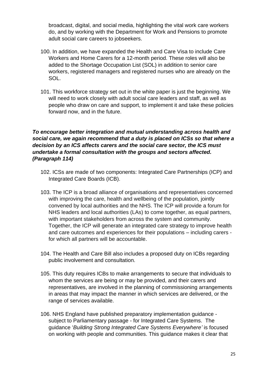broadcast, digital, and social media, highlighting the vital work care workers do, and by working with the Department for Work and Pensions to promote adult social care careers to jobseekers.

- 100. In addition, we have expanded the Health and Care Visa to include Care Workers and Home Carers for a 12-month period. These roles will also be added to the Shortage Occupation List (SOL) in addition to senior care workers, registered managers and registered nurses who are already on the SOL.
- 101. This workforce strategy set out in the white paper is just the beginning. We will need to work closely with adult social care leaders and staff, as well as people who draw on care and support, to implement it and take these policies forward now, and in the future.

#### *To encourage better integration and mutual understanding across health and social care, we again recommend that a duty is placed on ICSs so that where a decision by an ICS affects carers and the social care sector, the ICS must undertake a formal consultation with the groups and sectors affected. (Paragraph 114)*

- 102. ICSs are made of two components: Integrated Care Partnerships (ICP) and Integrated Care Boards (ICB).
- 103. The ICP is a broad alliance of organisations and representatives concerned with improving the care, health and wellbeing of the population, jointly convened by local authorities and the NHS. The ICP will provide a forum for NHS leaders and local authorities (LAs) to come together, as equal partners, with important stakeholders from across the system and community. Together, the ICP will generate an integrated care strategy to improve health and care outcomes and experiences for their populations – including carers for which all partners will be accountable.
- 104. The Health and Care Bill also includes a proposed duty on ICBs regarding public involvement and consultation.
- 105. This duty requires ICBs to make arrangements to secure that individuals to whom the services are being or may be provided, and their carers and representatives, are involved in the planning of commissioning arrangements in areas that may impact the manner in which services are delivered, or the range of services available.
- 106. NHS England have published preparatory implementation guidance subject to Parliamentary passage - for Integrated Care Systems. The guidance '*Building Strong Integrated Care Systems Everywhere'* is focused on working with people and communities. This guidance makes it clear that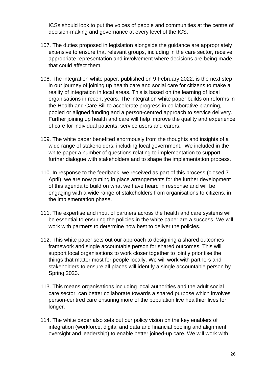ICSs should look to put the voices of people and communities at the centre of decision-making and governance at every level of the ICS.

- 107. The duties proposed in legislation alongside the guidance are appropriately extensive to ensure that relevant groups, including in the care sector, receive appropriate representation and involvement where decisions are being made that could affect them.
- 108. The integration white paper, published on 9 February 2022, is the next step in our journey of joining up health care and social care for citizens to make a reality of integration in local areas. This is based on the learning of local organisations in recent years. The integration white paper builds on reforms in the Health and Care Bill to accelerate progress in collaborative planning, pooled or aligned funding and a person-centred approach to service delivery. Further joining up health and care will help improve the quality and experience of care for individual patients, service users and carers.
- 109. The white paper benefited enormously from the thoughts and insights of a wide range of stakeholders, including local government. We included in the white paper a number of questions relating to implementation to support further dialogue with stakeholders and to shape the implementation process.
- 110. In response to the feedback, we received as part of this process (closed 7 April), we are now putting in place arrangements for the further development of this agenda to build on what we have heard in response and will be engaging with a wide range of stakeholders from organisations to citizens, in the implementation phase.
- 111. The expertise and input of partners across the health and care systems will be essential to ensuring the policies in the white paper are a success. We will work with partners to determine how best to deliver the policies.
- 112. This white paper sets out our approach to designing a shared outcomes framework and single accountable person for shared outcomes. This will support local organisations to work closer together to jointly prioritise the things that matter most for people locally. We will work with partners and stakeholders to ensure all places will identify a single accountable person by Spring 2023.
- 113. This means organisations including local authorities and the adult social care sector, can better collaborate towards a shared purpose which involves person-centred care ensuring more of the population live healthier lives for longer.
- 114. The white paper also sets out our policy vision on the key enablers of integration (workforce, digital and data and financial pooling and alignment, oversight and leadership) to enable better joined-up care. We will work with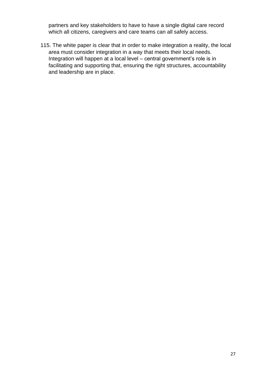partners and key stakeholders to have to have a single digital care record which all citizens, caregivers and care teams can all safely access.

115. The white paper is clear that in order to make integration a reality, the local area must consider integration in a way that meets their local needs. Integration will happen at a local level – central government's role is in facilitating and supporting that, ensuring the right structures, accountability and leadership are in place.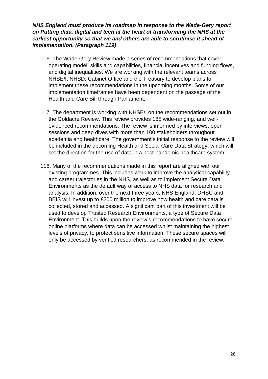#### *NHS England must produce its roadmap in response to the Wade-Gery report on Putting data, digital and tech at the heart of transforming the NHS at the earliest opportunity so that we and others are able to scrutinise it ahead of implementation. (Paragraph 119)*

- 116. The Wade-Gery Review made a series of recommendations that cover operating model, skills and capabilities, financial incentives and funding flows, and digital inequalities. We are working with the relevant teams across NHSE/I, NHSD, Cabinet Office and the Treasury to develop plans to implement these recommendations in the upcoming months. Some of our implementation timeframes have been dependent on the passage of the Health and Care Bill through Parliament.
- 117. The department is working with NHSE/I on the recommendations set out in the Goldacre Review. This review provides 185 wide-ranging, and wellevidenced recommendations. The review is informed by interviews, open sessions and deep dives with more than 100 stakeholders throughout academia and healthcare. The government's initial response to the review will be included in the upcoming Health and Social Care Data Strategy, which will set the direction for the use of data in a post-pandemic healthcare system.
- 118. Many of the recommendations made in this report are aligned with our existing programmes. This includes work to improve the analytical capability and career trajectories in the NHS, as well as to implement Secure Data Environments as the default way of access to NHS data for research and analysis. In addition, over the next three years, NHS England, DHSC and BEIS will invest up to £200 million to improve how health and care data is collected, stored and accessed. A significant part of this investment will be used to develop Trusted Research Environments, a type of Secure Data Environment. This builds upon the review's recommendations to have secure online platforms where data can be accessed whilst maintaining the highest levels of privacy, to protect sensitive information. These secure spaces will only be accessed by verified researchers, as recommended in the review.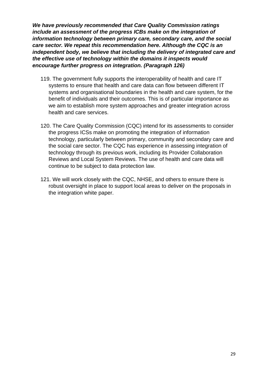*We have previously recommended that Care Quality Commission ratings include an assessment of the progress ICBs make on the integration of information technology between primary care, secondary care, and the social care sector. We repeat this recommendation here. Although the CQC is an independent body, we believe that including the delivery of integrated care and the effective use of technology within the domains it inspects would encourage further progress on integration. (Paragraph 126)* 

- 119. The government fully supports the interoperability of health and care IT systems to ensure that health and care data can flow between different IT systems and organisational boundaries in the health and care system, for the benefit of individuals and their outcomes. This is of particular importance as we aim to establish more system approaches and greater integration across health and care services.
- 120. The Care Quality Commission (CQC) intend for its assessments to consider the progress ICSs make on promoting the integration of information technology, particularly between primary, community and secondary care and the social care sector. The CQC has experience in assessing integration of technology through its previous work, including its Provider Collaboration Reviews and Local System Reviews. The use of health and care data will continue to be subject to data protection law.
- 121. We will work closely with the CQC, NHSE, and others to ensure there is robust oversight in place to support local areas to deliver on the proposals in the integration white paper.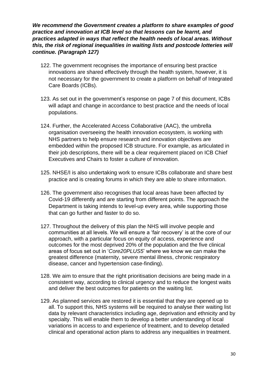*We recommend the Government creates a platform to share examples of good practice and innovation at ICB level so that lessons can be learnt, and practices adapted in ways that reflect the health needs of local areas. Without this, the risk of regional inequalities in waiting lists and postcode lotteries will continue. (Paragraph 127)* 

- 122. The government recognises the importance of ensuring best practice innovations are shared effectively through the health system, however, it is not necessary for the government to create a platform on behalf of Integrated Care Boards (ICBs).
- 123. As set out in the government's response on page 7 of this document, ICBs will adapt and change in accordance to best practice and the needs of local populations.
- 124. Further, the Accelerated Access Collaborative (AAC), the umbrella organisation overseeing the health innovation ecosystem, is working with NHS partners to help ensure research and innovation objectives are embedded within the proposed ICB structure. For example, as articulated in their job descriptions, there will be a clear requirement placed on ICB Chief Executives and Chairs to foster a culture of innovation.
- 125. NHSE/I is also undertaking work to ensure ICBs collaborate and share best practice and is creating forums in which they are able to share information.
- 126. The government also recognises that local areas have been affected by Covid-19 differently and are starting from different points. The approach the Department is taking intends to level-up every area, while supporting those that can go further and faster to do so.
- 127. Throughout the delivery of this plan the NHS will involve people and communities at all levels. We will ensure a 'fair recovery' is at the core of our approach, with a particular focus on equity of access, experience and outcomes for the most deprived 20% of the population and the five clinical areas of focus set out in '*Core20PLUS5*' where we know we can make the greatest difference (maternity, severe mental illness, chronic respiratory disease, cancer and hypertension case-finding).
- 128. We aim to ensure that the right prioritisation decisions are being made in a consistent way, according to clinical urgency and to reduce the longest waits and deliver the best outcomes for patients on the waiting list.
- 129. As planned services are restored it is essential that they are opened up to all. To support this, NHS systems will be required to analyse their waiting list data by relevant characteristics including age, deprivation and ethnicity and by specialty. This will enable them to develop a better understanding of local variations in access to and experience of treatment, and to develop detailed clinical and operational action plans to address any inequalities in treatment.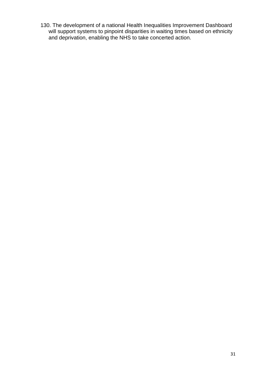130. The development of a national Health Inequalities Improvement Dashboard will support systems to pinpoint disparities in waiting times based on ethnicity and deprivation, enabling the NHS to take concerted action.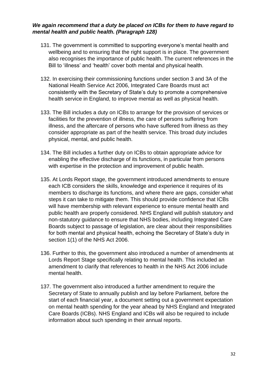#### *We again recommend that a duty be placed on ICBs for them to have regard to mental health and public health. (Paragraph 128)*

- 131. The government is committed to supporting everyone's mental health and wellbeing and to ensuring that the right support is in place. The government also recognises the importance of public health. The current references in the Bill to 'illness' and 'health' cover both mental and physical health.
- 132. In exercising their commissioning functions under section 3 and 3A of the National Health Service Act 2006, Integrated Care Boards must act consistently with the Secretary of State's duty to promote a comprehensive health service in England, to improve mental as well as physical health.
- 133. The Bill includes a duty on ICBs to arrange for the provision of services or facilities for the prevention of illness, the care of persons suffering from illness, and the aftercare of persons who have suffered from illness as they consider appropriate as part of the health service. This broad duty includes physical, mental, and public health.
- 134. The Bill includes a further duty on ICBs to obtain appropriate advice for enabling the effective discharge of its functions, in particular from persons with expertise in the protection and improvement of public health.
- 135. At Lords Report stage, the government introduced amendments to ensure each ICB considers the skills, knowledge and experience it requires of its members to discharge its functions, and where there are gaps, consider what steps it can take to mitigate them. This should provide confidence that ICBs will have membership with relevant experience to ensure mental health and public health are properly considered. NHS England will publish statutory and non-statutory guidance to ensure that NHS bodies, including Integrated Care Boards subject to passage of legislation, are clear about their responsibilities for both mental and physical health, echoing the Secretary of State's duty in section 1(1) of the NHS Act 2006.
- 136. Further to this, the government also introduced a number of amendments at Lords Report Stage specifically relating to mental health. This included an amendment to clarify that references to health in the NHS Act 2006 include mental health.
- 137. The government also introduced a further amendment to require the Secretary of State to annually publish and lay before Parliament, before the start of each financial year, a document setting out a government expectation on mental health spending for the year ahead by NHS England and Integrated Care Boards (ICBs). NHS England and ICBs will also be required to include information about such spending in their annual reports.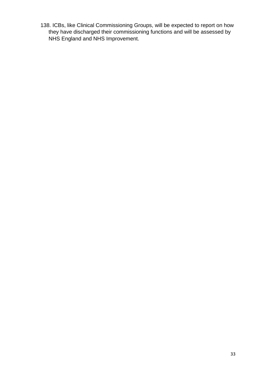138. ICBs, like Clinical Commissioning Groups, will be expected to report on how they have discharged their commissioning functions and will be assessed by NHS England and NHS Improvement.